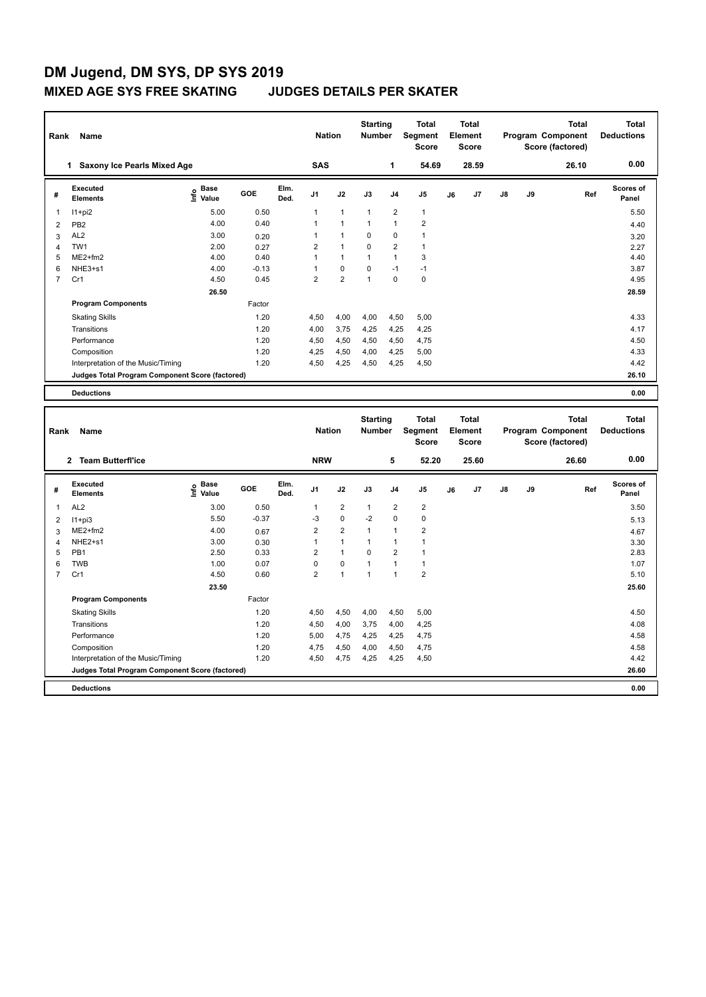| Rank           | Name                                            | <b>Nation</b>                    |         | <b>Starting</b><br><b>Total</b><br><b>Number</b><br>Segment<br><b>Score</b> |                | <b>Total</b><br>Element<br><b>Score</b> |                | Program Component |                | <b>Total</b><br>Score (factored) | <b>Total</b><br><b>Deductions</b> |               |    |       |                    |
|----------------|-------------------------------------------------|----------------------------------|---------|-----------------------------------------------------------------------------|----------------|-----------------------------------------|----------------|-------------------|----------------|----------------------------------|-----------------------------------|---------------|----|-------|--------------------|
|                | Saxony Ice Pearls Mixed Age<br>1.               |                                  |         |                                                                             |                | <b>SAS</b>                              |                | 1                 | 54.69          |                                  | 28.59                             |               |    | 26.10 | 0.00               |
| #              | <b>Executed</b><br><b>Elements</b>              | <b>Base</b><br>e Base<br>⊆ Value | GOE     | Elm.<br>Ded.                                                                | J <sub>1</sub> | J2                                      | J3             | J <sub>4</sub>    | J <sub>5</sub> | J6                               | J7                                | $\mathsf{J}8$ | J9 | Ref   | Scores of<br>Panel |
| 1              | $11+pi2$                                        | 5.00                             | 0.50    |                                                                             | 1              | $\overline{1}$                          | $\overline{1}$ | $\overline{2}$    | $\mathbf{1}$   |                                  |                                   |               |    |       | 5.50               |
| $\overline{2}$ | PB <sub>2</sub>                                 | 4.00                             | 0.40    |                                                                             | 1              | 1                                       | -1             | $\overline{1}$    | $\overline{2}$ |                                  |                                   |               |    |       | 4.40               |
| 3              | AL <sub>2</sub>                                 | 3.00                             | 0.20    |                                                                             | 1              | $\overline{1}$                          | $\mathbf 0$    | $\mathbf 0$       | 1              |                                  |                                   |               |    |       | 3.20               |
| 4              | TW1                                             | 2.00                             | 0.27    |                                                                             | $\overline{2}$ | $\overline{1}$                          | 0              | $\overline{2}$    | 1              |                                  |                                   |               |    |       | 2.27               |
| 5              | $ME2+fm2$                                       | 4.00                             | 0.40    |                                                                             | 1              | $\mathbf{1}$                            | 1              | $\overline{1}$    | 3              |                                  |                                   |               |    |       | 4.40               |
| 6              | NHE3+s1                                         | 4.00                             | $-0.13$ |                                                                             | 1              | $\mathbf 0$                             | $\mathbf 0$    | $-1$              | $-1$           |                                  |                                   |               |    |       | 3.87               |
| 7              | Cr1                                             | 4.50                             | 0.45    |                                                                             | $\overline{2}$ | $\overline{2}$                          | $\overline{1}$ | $\mathbf 0$       | $\pmb{0}$      |                                  |                                   |               |    |       | 4.95               |
|                |                                                 | 26.50                            |         |                                                                             |                |                                         |                |                   |                |                                  |                                   |               |    |       | 28.59              |
|                | <b>Program Components</b>                       |                                  | Factor  |                                                                             |                |                                         |                |                   |                |                                  |                                   |               |    |       |                    |
|                | <b>Skating Skills</b>                           |                                  | 1.20    |                                                                             | 4,50           | 4,00                                    | 4,00           | 4,50              | 5,00           |                                  |                                   |               |    |       | 4.33               |
|                | Transitions                                     |                                  | 1.20    |                                                                             | 4,00           | 3,75                                    | 4,25           | 4,25              | 4,25           |                                  |                                   |               |    |       | 4.17               |
|                | Performance                                     |                                  | 1.20    |                                                                             | 4,50           | 4,50                                    | 4,50           | 4,50              | 4,75           |                                  |                                   |               |    |       | 4.50               |
|                | Composition                                     |                                  | 1.20    |                                                                             | 4,25           | 4,50                                    | 4,00           | 4,25              | 5,00           |                                  |                                   |               |    |       | 4.33               |
|                | Interpretation of the Music/Timing              |                                  | 1.20    |                                                                             | 4,50           | 4,25                                    | 4,50           | 4,25              | 4,50           |                                  |                                   |               |    |       | 4.42               |
|                | Judges Total Program Component Score (factored) |                                  |         |                                                                             |                |                                         |                |                   |                |                                  |                                   |               |    |       | 26.10              |
|                | <b>Deductions</b>                               |                                  |         |                                                                             |                |                                         |                |                   |                |                                  |                                   |               |    |       | 0.00               |

| Rank<br>Name   |                                                 |                                             |         |              |                | <b>Starting</b><br><b>Nation</b><br><b>Number</b> |              | <b>Total</b><br>Segment<br><b>Score</b> |                | Total<br>Element<br><b>Score</b> |                |               | <b>Total</b><br>Program Component<br>Score (factored) | Total<br><b>Deductions</b> |                           |
|----------------|-------------------------------------------------|---------------------------------------------|---------|--------------|----------------|---------------------------------------------------|--------------|-----------------------------------------|----------------|----------------------------------|----------------|---------------|-------------------------------------------------------|----------------------------|---------------------------|
|                | <b>Team Butterfl'ice</b><br>$\mathbf{2}$        |                                             |         |              | <b>NRW</b>     |                                                   |              | 5                                       | 52.20          |                                  | 25.60          |               |                                                       | 26.60                      | 0.00                      |
| #              | Executed<br><b>Elements</b>                     | <b>Base</b><br>e <sup>Base</sup><br>⊆ Value | GOE     | Elm.<br>Ded. | J <sub>1</sub> | J2                                                | J3           | J <sub>4</sub>                          | J <sub>5</sub> | J6                               | J <sub>7</sub> | $\mathsf{J}8$ | J9                                                    | Ref                        | <b>Scores of</b><br>Panel |
| 1              | AL <sub>2</sub>                                 | 3.00                                        | 0.50    |              | 1              | $\overline{2}$                                    | $\mathbf{1}$ | $\overline{2}$                          | $\overline{2}$ |                                  |                |               |                                                       |                            | 3.50                      |
| 2              | $11+pi3$                                        | 5.50                                        | $-0.37$ |              | $-3$           | $\mathbf 0$                                       | $-2$         | $\mathbf 0$                             | $\mathbf 0$    |                                  |                |               |                                                       |                            | 5.13                      |
| 3              | $ME2+fm2$                                       | 4.00                                        | 0.67    |              | $\overline{2}$ | $\overline{2}$                                    | $\mathbf{1}$ | $\mathbf{1}$                            | $\overline{2}$ |                                  |                |               |                                                       |                            | 4.67                      |
| $\overline{4}$ | NHE2+s1                                         | 3.00                                        | 0.30    |              | 1              | $\mathbf{1}$                                      | $\mathbf{1}$ | $\mathbf{1}$                            | $\mathbf{1}$   |                                  |                |               |                                                       |                            | 3.30                      |
| 5              | PB <sub>1</sub>                                 | 2.50                                        | 0.33    |              | $\overline{2}$ | $\mathbf{1}$                                      | $\mathbf 0$  | $\overline{2}$                          | $\overline{1}$ |                                  |                |               |                                                       |                            | 2.83                      |
| 6              | <b>TWB</b>                                      | 1.00                                        | 0.07    |              | 0              | 0                                                 | $\mathbf{1}$ | 1                                       | $\overline{1}$ |                                  |                |               |                                                       |                            | 1.07                      |
| 7              | Cr1                                             | 4.50                                        | 0.60    |              | $\overline{2}$ | 1                                                 | 1            | 1                                       | $\overline{2}$ |                                  |                |               |                                                       |                            | 5.10                      |
|                |                                                 | 23.50                                       |         |              |                |                                                   |              |                                         |                |                                  |                |               |                                                       |                            | 25.60                     |
|                | <b>Program Components</b>                       |                                             | Factor  |              |                |                                                   |              |                                         |                |                                  |                |               |                                                       |                            |                           |
|                | <b>Skating Skills</b>                           |                                             | 1.20    |              | 4,50           | 4,50                                              | 4,00         | 4,50                                    | 5,00           |                                  |                |               |                                                       |                            | 4.50                      |
|                | Transitions                                     |                                             | 1.20    |              | 4,50           | 4,00                                              | 3,75         | 4,00                                    | 4,25           |                                  |                |               |                                                       |                            | 4.08                      |
|                | Performance                                     |                                             | 1.20    |              | 5,00           | 4,75                                              | 4,25         | 4,25                                    | 4,75           |                                  |                |               |                                                       |                            | 4.58                      |
|                | Composition                                     |                                             | 1.20    |              | 4.75           | 4,50                                              | 4,00         | 4,50                                    | 4,75           |                                  |                |               |                                                       |                            | 4.58                      |
|                | Interpretation of the Music/Timing              |                                             | 1.20    |              | 4,50           | 4,75                                              | 4,25         | 4,25                                    | 4,50           |                                  |                |               |                                                       |                            | 4.42                      |
|                | Judges Total Program Component Score (factored) |                                             |         |              |                |                                                   |              |                                         |                |                                  |                |               |                                                       |                            | 26.60                     |
|                | <b>Deductions</b>                               |                                             |         |              |                |                                                   |              |                                         |                |                                  |                |               |                                                       |                            | 0.00                      |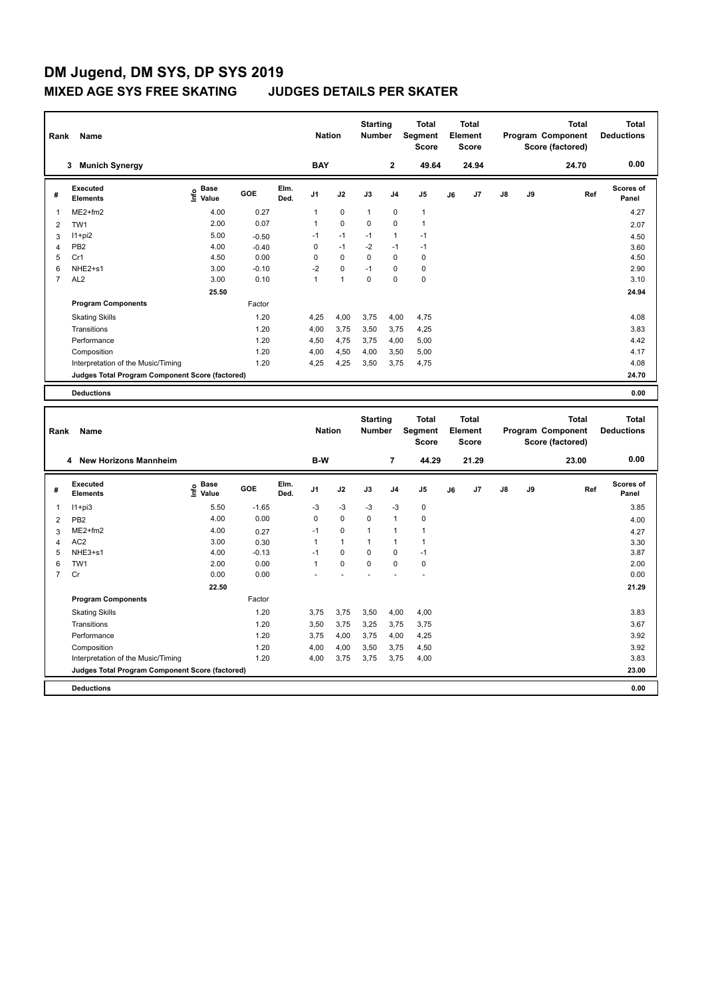| Rank           | Name                                            | <b>Nation</b>                |         | <b>Starting</b><br><b>Number</b> |                | <b>Total</b><br>Segment<br><b>Score</b> | <b>Total</b><br>Element<br>Score |                |                |    | <b>Total</b><br>Program Component<br>Score (factored) | Total<br><b>Deductions</b> |    |       |                           |
|----------------|-------------------------------------------------|------------------------------|---------|----------------------------------|----------------|-----------------------------------------|----------------------------------|----------------|----------------|----|-------------------------------------------------------|----------------------------|----|-------|---------------------------|
|                | <b>Munich Synergy</b><br>3                      |                              |         |                                  | <b>BAY</b>     |                                         |                                  | $\overline{2}$ | 49.64          |    | 24.94                                                 |                            |    | 24.70 | 0.00                      |
| #              | Executed<br><b>Elements</b>                     | <b>Base</b><br>lnfo<br>Value | GOE     | Elm.<br>Ded.                     | J <sub>1</sub> | J2                                      | J3                               | J <sub>4</sub> | J <sub>5</sub> | J6 | J7                                                    | $\mathsf{J}8$              | J9 | Ref   | <b>Scores of</b><br>Panel |
| $\mathbf{1}$   | $ME2+fm2$                                       | 4.00                         | 0.27    |                                  | 1              | $\mathbf 0$                             | $\mathbf{1}$                     | $\mathbf 0$    | $\mathbf{1}$   |    |                                                       |                            |    |       | 4.27                      |
| 2              | TW <sub>1</sub>                                 | 2.00                         | 0.07    |                                  | $\mathbf{1}$   | $\mathbf 0$                             | $\Omega$                         | $\mathbf 0$    | $\mathbf{1}$   |    |                                                       |                            |    |       | 2.07                      |
| 3              | $11+pi2$                                        | 5.00                         | $-0.50$ |                                  | $-1$           | $-1$                                    | $-1$                             | $\mathbf{1}$   | $-1$           |    |                                                       |                            |    |       | 4.50                      |
| $\overline{4}$ | PB <sub>2</sub>                                 | 4.00                         | $-0.40$ |                                  | 0              | $-1$                                    | $-2$                             | $-1$           | $-1$           |    |                                                       |                            |    |       | 3.60                      |
| 5              | Cr1                                             | 4.50                         | 0.00    |                                  | 0              | $\mathbf 0$                             | $\mathbf 0$                      | $\mathbf 0$    | 0              |    |                                                       |                            |    |       | 4.50                      |
| 6              | NHE2+s1                                         | 3.00                         | $-0.10$ |                                  | $-2$           | $\mathbf 0$                             | $-1$                             | $\mathbf 0$    | $\mathbf 0$    |    |                                                       |                            |    |       | 2.90                      |
| $\overline{7}$ | AL <sub>2</sub>                                 | 3.00                         | 0.10    |                                  | $\mathbf{1}$   | $\overline{1}$                          | 0                                | $\mathbf 0$    | $\mathbf 0$    |    |                                                       |                            |    |       | 3.10                      |
|                |                                                 | 25.50                        |         |                                  |                |                                         |                                  |                |                |    |                                                       |                            |    |       | 24.94                     |
|                | <b>Program Components</b>                       |                              | Factor  |                                  |                |                                         |                                  |                |                |    |                                                       |                            |    |       |                           |
|                | <b>Skating Skills</b>                           |                              | 1.20    |                                  | 4.25           | 4,00                                    | 3,75                             | 4,00           | 4.75           |    |                                                       |                            |    |       | 4.08                      |
|                | Transitions                                     |                              | 1.20    |                                  | 4,00           | 3,75                                    | 3,50                             | 3,75           | 4,25           |    |                                                       |                            |    |       | 3.83                      |
|                | Performance                                     |                              | 1.20    |                                  | 4,50           | 4,75                                    | 3,75                             | 4,00           | 5,00           |    |                                                       |                            |    |       | 4.42                      |
|                | Composition                                     |                              | 1.20    |                                  | 4,00           | 4,50                                    | 4,00                             | 3,50           | 5,00           |    |                                                       |                            |    |       | 4.17                      |
|                | Interpretation of the Music/Timing              |                              | 1.20    |                                  | 4,25           | 4,25                                    | 3,50                             | 3,75           | 4,75           |    |                                                       |                            |    |       | 4.08                      |
|                | Judges Total Program Component Score (factored) |                              |         |                                  |                |                                         |                                  |                |                |    |                                                       |                            |    |       | 24.70                     |
|                | <b>Deductions</b>                               |                              |         |                                  |                |                                         |                                  |                |                |    |                                                       |                            |    |       | 0.00                      |

| Rank<br>Name   |                                                 |                                             |         |              |                | <b>Nation</b> | <b>Starting</b><br><b>Number</b> |                | Total<br>Segment<br><b>Score</b> | Total<br>Element<br><b>Score</b> |       |               |    | <b>Total</b><br>Program Component<br>Score (factored) | <b>Total</b><br><b>Deductions</b> |
|----------------|-------------------------------------------------|---------------------------------------------|---------|--------------|----------------|---------------|----------------------------------|----------------|----------------------------------|----------------------------------|-------|---------------|----|-------------------------------------------------------|-----------------------------------|
|                | <b>New Horizons Mannheim</b><br>4               |                                             |         |              | B-W            |               |                                  | 7              | 44.29                            |                                  | 21.29 |               |    | 23.00                                                 | 0.00                              |
| #              | Executed<br><b>Elements</b>                     | <b>Base</b><br>e <sup>Base</sup><br>⊆ Value | GOE     | Elm.<br>Ded. | J <sub>1</sub> | J2            | J3                               | J <sub>4</sub> | J <sub>5</sub>                   | J6                               | J7    | $\mathsf{J}8$ | J9 | Ref                                                   | <b>Scores of</b><br>Panel         |
| 1              | $11+pi3$                                        | 5.50                                        | $-1.65$ |              | $-3$           | $-3$          | $-3$                             | $-3$           | 0                                |                                  |       |               |    |                                                       | 3.85                              |
| $\overline{2}$ | PB <sub>2</sub>                                 | 4.00                                        | 0.00    |              | 0              | 0             | 0                                | $\overline{1}$ | 0                                |                                  |       |               |    |                                                       | 4.00                              |
| 3              | $ME2+fm2$                                       | 4.00                                        | 0.27    |              | $-1$           | $\mathbf 0$   | 1                                | $\overline{1}$ |                                  |                                  |       |               |    |                                                       | 4.27                              |
| $\overline{4}$ | AC <sub>2</sub>                                 | 3.00                                        | 0.30    |              | 1              | $\mathbf{1}$  | $\overline{1}$                   | $\overline{1}$ |                                  |                                  |       |               |    |                                                       | 3.30                              |
| 5              | NHE3+s1                                         | 4.00                                        | $-0.13$ |              | $-1$           | 0             | 0                                | 0              | $-1$                             |                                  |       |               |    |                                                       | 3.87                              |
| 6              | TW <sub>1</sub>                                 | 2.00                                        | 0.00    |              | 1              | $\Omega$      | $\Omega$                         | $\Omega$       | $\pmb{0}$                        |                                  |       |               |    |                                                       | 2.00                              |
| $\overline{7}$ | Cr                                              | 0.00                                        | 0.00    |              |                |               |                                  |                | ÷,                               |                                  |       |               |    |                                                       | 0.00                              |
|                |                                                 | 22.50                                       |         |              |                |               |                                  |                |                                  |                                  |       |               |    |                                                       | 21.29                             |
|                | <b>Program Components</b>                       |                                             | Factor  |              |                |               |                                  |                |                                  |                                  |       |               |    |                                                       |                                   |
|                | <b>Skating Skills</b>                           |                                             | 1.20    |              | 3,75           | 3,75          | 3,50                             | 4,00           | 4,00                             |                                  |       |               |    |                                                       | 3.83                              |
|                | Transitions                                     |                                             | 1.20    |              | 3,50           | 3,75          | 3,25                             | 3,75           | 3,75                             |                                  |       |               |    |                                                       | 3.67                              |
|                | Performance                                     |                                             | 1.20    |              | 3,75           | 4,00          | 3,75                             | 4,00           | 4,25                             |                                  |       |               |    |                                                       | 3.92                              |
|                | Composition                                     |                                             | 1.20    |              | 4,00           | 4,00          | 3,50                             | 3,75           | 4,50                             |                                  |       |               |    |                                                       | 3.92                              |
|                | Interpretation of the Music/Timing              |                                             | 1.20    |              | 4,00           | 3,75          | 3,75                             | 3,75           | 4,00                             |                                  |       |               |    |                                                       | 3.83                              |
|                | Judges Total Program Component Score (factored) |                                             |         |              |                |               |                                  |                |                                  |                                  |       |               |    |                                                       | 23.00                             |
|                | <b>Deductions</b>                               |                                             |         |              |                |               |                                  |                |                                  |                                  |       |               |    |                                                       | 0.00                              |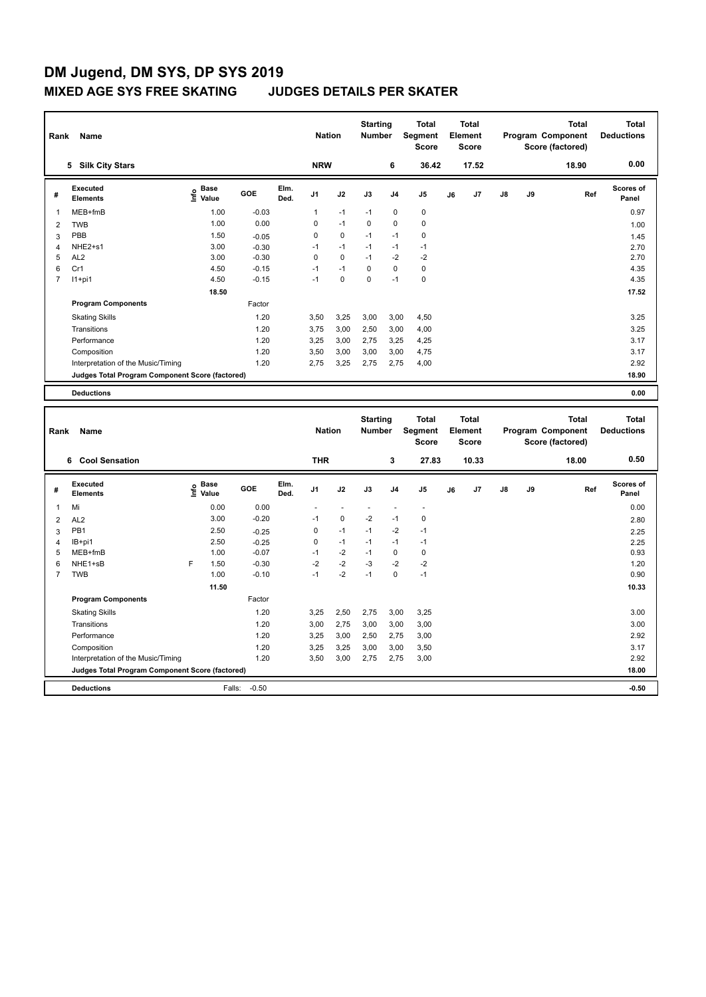| Rank           | Name                                            |                                  | <b>Nation</b> |              | <b>Starting</b><br><b>Total</b><br><b>Number</b><br>Segment<br><b>Score</b> |             | <b>Total</b><br>Element<br><b>Score</b> |                |                |    | <b>Total</b><br>Program Component<br>Score (factored) | <b>Total</b><br><b>Deductions</b> |    |       |                    |
|----------------|-------------------------------------------------|----------------------------------|---------------|--------------|-----------------------------------------------------------------------------|-------------|-----------------------------------------|----------------|----------------|----|-------------------------------------------------------|-----------------------------------|----|-------|--------------------|
|                | <b>Silk City Stars</b><br>5                     |                                  |               |              | <b>NRW</b>                                                                  |             |                                         | 6              | 36.42          |    | 17.52                                                 |                                   |    | 18.90 | 0.00               |
| #              | Executed<br><b>Elements</b>                     | <b>Base</b><br>e Base<br>⊆ Value | GOE           | Elm.<br>Ded. | J <sub>1</sub>                                                              | J2          | J3                                      | J <sub>4</sub> | J <sub>5</sub> | J6 | J7                                                    | $\mathsf{J}8$                     | J9 | Ref   | Scores of<br>Panel |
| 1              | MEB+fmB                                         | 1.00                             | $-0.03$       |              | 1                                                                           | $-1$        | $-1$                                    | 0              | 0              |    |                                                       |                                   |    |       | 0.97               |
| 2              | <b>TWB</b>                                      | 1.00                             | 0.00          |              | 0                                                                           | $-1$        | $\Omega$                                | 0              | 0              |    |                                                       |                                   |    |       | 1.00               |
| 3              | PBB                                             | 1.50                             | $-0.05$       |              | 0                                                                           | $\mathbf 0$ | $-1$                                    | $-1$           | 0              |    |                                                       |                                   |    |       | 1.45               |
| 4              | NHE2+s1                                         | 3.00                             | $-0.30$       |              | $-1$                                                                        | $-1$        | $-1$                                    | $-1$           | $-1$           |    |                                                       |                                   |    |       | 2.70               |
| 5              | AL <sub>2</sub>                                 | 3.00                             | $-0.30$       |              | 0                                                                           | $\mathbf 0$ | $-1$                                    | $-2$           | $-2$           |    |                                                       |                                   |    |       | 2.70               |
| 6              | Cr1                                             | 4.50                             | $-0.15$       |              | $-1$                                                                        | $-1$        | 0                                       | $\mathbf 0$    | $\mathbf 0$    |    |                                                       |                                   |    |       | 4.35               |
| $\overline{7}$ | $11+pi1$                                        | 4.50                             | $-0.15$       |              | $-1$                                                                        | $\mathbf 0$ | $\mathbf 0$                             | $-1$           | 0              |    |                                                       |                                   |    |       | 4.35               |
|                |                                                 | 18.50                            |               |              |                                                                             |             |                                         |                |                |    |                                                       |                                   |    |       | 17.52              |
|                | <b>Program Components</b>                       |                                  | Factor        |              |                                                                             |             |                                         |                |                |    |                                                       |                                   |    |       |                    |
|                | <b>Skating Skills</b>                           |                                  | 1.20          |              | 3,50                                                                        | 3,25        | 3,00                                    | 3,00           | 4,50           |    |                                                       |                                   |    |       | 3.25               |
|                | Transitions                                     |                                  | 1.20          |              | 3.75                                                                        | 3,00        | 2,50                                    | 3,00           | 4.00           |    |                                                       |                                   |    |       | 3.25               |
|                | Performance                                     |                                  | 1.20          |              | 3,25                                                                        | 3,00        | 2.75                                    | 3,25           | 4,25           |    |                                                       |                                   |    |       | 3.17               |
|                | Composition                                     |                                  | 1.20          |              | 3,50                                                                        | 3,00        | 3,00                                    | 3,00           | 4,75           |    |                                                       |                                   |    |       | 3.17               |
|                | Interpretation of the Music/Timing              |                                  | 1.20          |              | 2,75                                                                        | 3,25        | 2,75                                    | 2,75           | 4,00           |    |                                                       |                                   |    |       | 2.92               |
|                | Judges Total Program Component Score (factored) |                                  |               |              |                                                                             |             |                                         |                |                |    |                                                       |                                   |    |       | 18.90              |
|                | <b>Deductions</b>                               |                                  |               |              |                                                                             |             |                                         |                |                |    |                                                       |                                   |    |       | 0.00               |

| Rank           | Name<br>6 Cool Sensation                        |   | <b>THR</b>                                  | <b>Starting</b><br><b>Nation</b><br><b>Number</b><br>3 |              | <b>Total</b><br>Segment<br><b>Score</b><br>27.83 | Total<br>Element<br><b>Score</b><br>10.33 |      | Program Component |                | <b>Total</b><br>Score (factored)<br>18.00 | <b>Total</b><br><b>Deductions</b><br>0.50 |    |    |     |                    |
|----------------|-------------------------------------------------|---|---------------------------------------------|--------------------------------------------------------|--------------|--------------------------------------------------|-------------------------------------------|------|-------------------|----------------|-------------------------------------------|-------------------------------------------|----|----|-----|--------------------|
|                |                                                 |   |                                             |                                                        |              |                                                  |                                           |      |                   |                |                                           |                                           |    |    |     |                    |
| #              | <b>Executed</b><br><b>Elements</b>              |   | <b>Base</b><br>e <sup>Base</sup><br>⊆ Value | GOE                                                    | Elm.<br>Ded. | J <sub>1</sub>                                   | J2                                        | J3   | J <sub>4</sub>    | J <sub>5</sub> | J6                                        | J <sub>7</sub>                            | J8 | J9 | Ref | Scores of<br>Panel |
| 1              | Mi                                              |   | 0.00                                        | 0.00                                                   |              |                                                  |                                           |      |                   |                |                                           |                                           |    |    |     | 0.00               |
| 2              | AL <sub>2</sub>                                 |   | 3.00                                        | $-0.20$                                                |              | $-1$                                             | 0                                         | $-2$ | $-1$              | 0              |                                           |                                           |    |    |     | 2.80               |
| 3              | PB <sub>1</sub>                                 |   | 2.50                                        | $-0.25$                                                |              | 0                                                | $-1$                                      | $-1$ | $-2$              | $-1$           |                                           |                                           |    |    |     | 2.25               |
| 4              | IB+pi1                                          |   | 2.50                                        | $-0.25$                                                |              | 0                                                | $-1$                                      | $-1$ | $-1$              | $-1$           |                                           |                                           |    |    |     | 2.25               |
| 5              | MEB+fmB                                         |   | 1.00                                        | $-0.07$                                                |              | $-1$                                             | $-2$                                      | $-1$ | 0                 | 0              |                                           |                                           |    |    |     | 0.93               |
| 6              | NHE1+sB                                         | F | 1.50                                        | $-0.30$                                                |              | $-2$                                             | $-2$                                      | $-3$ | $-2$              | $-2$           |                                           |                                           |    |    |     | 1.20               |
| $\overline{7}$ | <b>TWB</b>                                      |   | 1.00                                        | $-0.10$                                                |              | $-1$                                             | $-2$                                      | $-1$ | 0                 | $-1$           |                                           |                                           |    |    |     | 0.90               |
|                |                                                 |   | 11.50                                       |                                                        |              |                                                  |                                           |      |                   |                |                                           |                                           |    |    |     | 10.33              |
|                | <b>Program Components</b>                       |   |                                             | Factor                                                 |              |                                                  |                                           |      |                   |                |                                           |                                           |    |    |     |                    |
|                | <b>Skating Skills</b>                           |   |                                             | 1.20                                                   |              | 3,25                                             | 2,50                                      | 2,75 | 3,00              | 3,25           |                                           |                                           |    |    |     | 3.00               |
|                | Transitions                                     |   |                                             | 1.20                                                   |              | 3,00                                             | 2,75                                      | 3,00 | 3,00              | 3,00           |                                           |                                           |    |    |     | 3.00               |
|                | Performance                                     |   |                                             | 1.20                                                   |              | 3,25                                             | 3,00                                      | 2,50 | 2,75              | 3,00           |                                           |                                           |    |    |     | 2.92               |
|                | Composition                                     |   |                                             | 1.20                                                   |              | 3,25                                             | 3,25                                      | 3,00 | 3,00              | 3,50           |                                           |                                           |    |    |     | 3.17               |
|                | Interpretation of the Music/Timing              |   |                                             | 1.20                                                   |              | 3,50                                             | 3,00                                      | 2,75 | 2,75              | 3,00           |                                           |                                           |    |    |     | 2.92               |
|                | Judges Total Program Component Score (factored) |   |                                             |                                                        |              |                                                  |                                           |      |                   |                |                                           |                                           |    |    |     | 18.00              |
|                | <b>Deductions</b>                               |   | Falls:                                      | $-0.50$                                                |              |                                                  |                                           |      |                   |                |                                           |                                           |    |    |     | $-0.50$            |